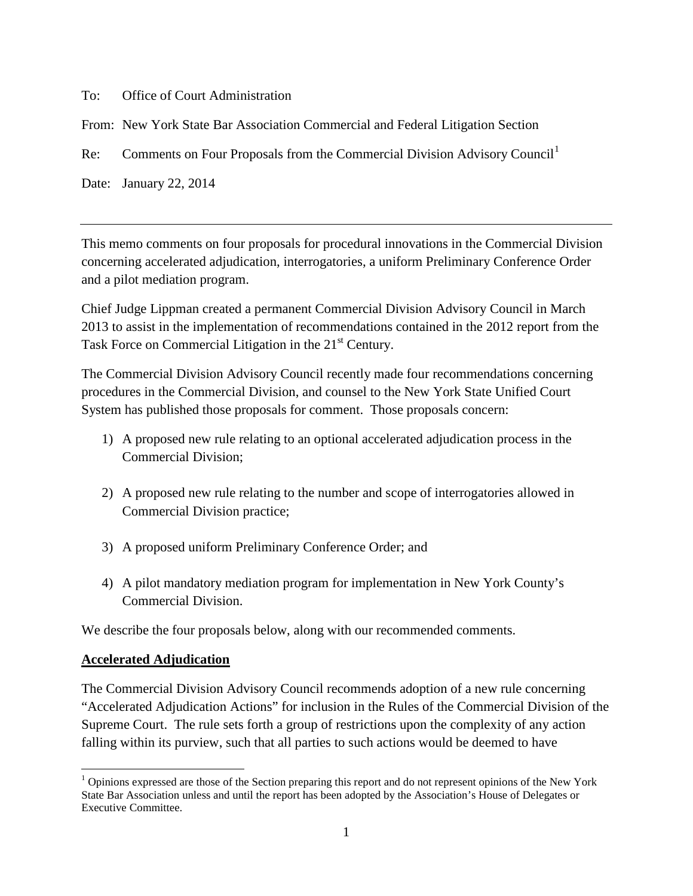To: Office of Court Administration

From: New York State Bar Association Commercial and Federal Litigation Section

Re: Comments on Four Proposals from the Commercial Division Advisory Council<sup>[1](#page-0-0)</sup>

Date: January 22, 2014

This memo comments on four proposals for procedural innovations in the Commercial Division concerning accelerated adjudication, interrogatories, a uniform Preliminary Conference Order and a pilot mediation program.

Chief Judge Lippman created a permanent Commercial Division Advisory Council in March 2013 to assist in the implementation of recommendations contained in the 2012 report from the Task Force on Commercial Litigation in the 21<sup>st</sup> Century.

The Commercial Division Advisory Council recently made four recommendations concerning procedures in the Commercial Division, and counsel to the New York State Unified Court System has published those proposals for comment. Those proposals concern:

- 1) A proposed new rule relating to an optional accelerated adjudication process in the Commercial Division;
- 2) A proposed new rule relating to the number and scope of interrogatories allowed in Commercial Division practice;
- 3) A proposed uniform Preliminary Conference Order; and
- 4) A pilot mandatory mediation program for implementation in New York County's Commercial Division.

We describe the four proposals below, along with our recommended comments.

## **Accelerated Adjudication**

The Commercial Division Advisory Council recommends adoption of a new rule concerning "Accelerated Adjudication Actions" for inclusion in the Rules of the Commercial Division of the Supreme Court. The rule sets forth a group of restrictions upon the complexity of any action falling within its purview, such that all parties to such actions would be deemed to have

<span id="page-0-0"></span> $<sup>1</sup>$  Opinions expressed are those of the Section preparing this report and do not represent opinions of the New York</sup> State Bar Association unless and until the report has been adopted by the Association's House of Delegates or Executive Committee.  $\overline{a}$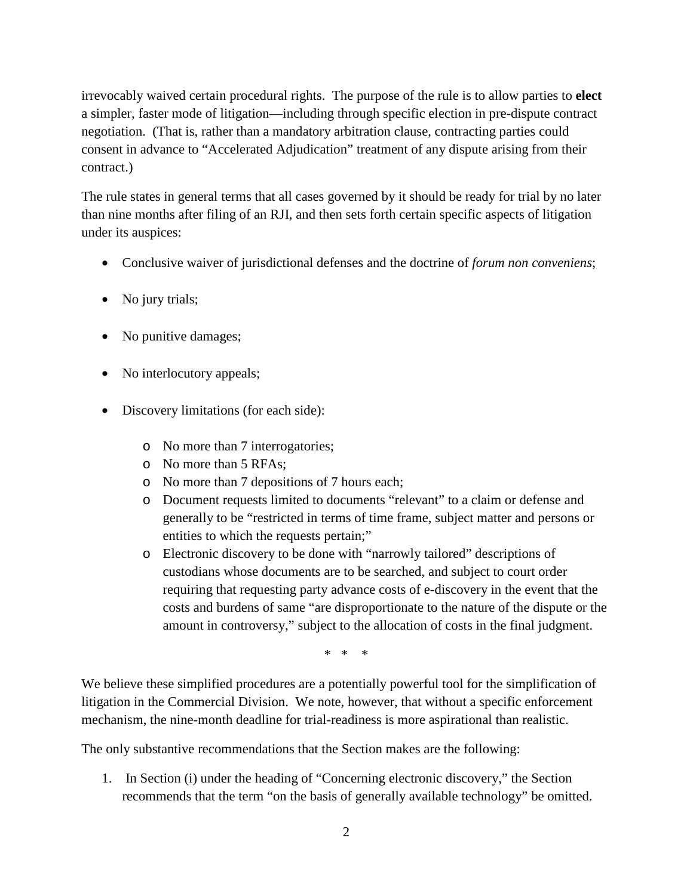irrevocably waived certain procedural rights. The purpose of the rule is to allow parties to **elect** a simpler, faster mode of litigation—including through specific election in pre-dispute contract negotiation. (That is, rather than a mandatory arbitration clause, contracting parties could consent in advance to "Accelerated Adjudication" treatment of any dispute arising from their contract.)

The rule states in general terms that all cases governed by it should be ready for trial by no later than nine months after filing of an RJI, and then sets forth certain specific aspects of litigation under its auspices:

- Conclusive waiver of jurisdictional defenses and the doctrine of *forum non conveniens*;
- No jury trials;
- No punitive damages;
- No interlocutory appeals;
- Discovery limitations (for each side):
	- o No more than 7 interrogatories;
	- o No more than 5 RFAs;
	- o No more than 7 depositions of 7 hours each;
	- o Document requests limited to documents "relevant" to a claim or defense and generally to be "restricted in terms of time frame, subject matter and persons or entities to which the requests pertain;"
	- o Electronic discovery to be done with "narrowly tailored" descriptions of custodians whose documents are to be searched, and subject to court order requiring that requesting party advance costs of e-discovery in the event that the costs and burdens of same "are disproportionate to the nature of the dispute or the amount in controversy," subject to the allocation of costs in the final judgment.

\* \* \*

We believe these simplified procedures are a potentially powerful tool for the simplification of litigation in the Commercial Division. We note, however, that without a specific enforcement mechanism, the nine-month deadline for trial-readiness is more aspirational than realistic.

The only substantive recommendations that the Section makes are the following:

1. In Section (i) under the heading of "Concerning electronic discovery," the Section recommends that the term "on the basis of generally available technology" be omitted.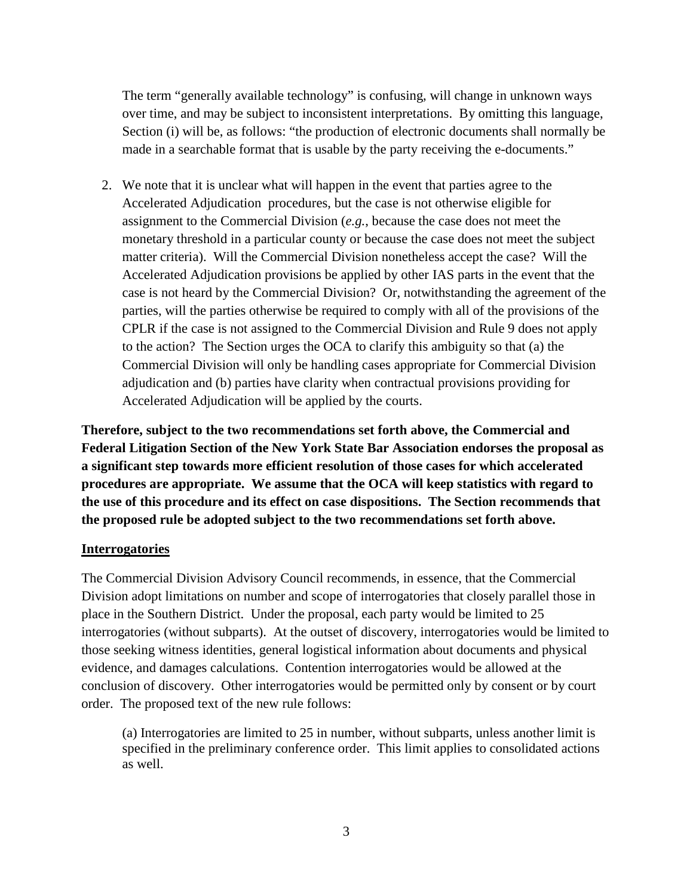The term "generally available technology" is confusing, will change in unknown ways over time, and may be subject to inconsistent interpretations. By omitting this language, Section (i) will be, as follows: "the production of electronic documents shall normally be made in a searchable format that is usable by the party receiving the e-documents."

2. We note that it is unclear what will happen in the event that parties agree to the Accelerated Adjudication procedures, but the case is not otherwise eligible for assignment to the Commercial Division (*e.g.*, because the case does not meet the monetary threshold in a particular county or because the case does not meet the subject matter criteria). Will the Commercial Division nonetheless accept the case? Will the Accelerated Adjudication provisions be applied by other IAS parts in the event that the case is not heard by the Commercial Division? Or, notwithstanding the agreement of the parties, will the parties otherwise be required to comply with all of the provisions of the CPLR if the case is not assigned to the Commercial Division and Rule 9 does not apply to the action? The Section urges the OCA to clarify this ambiguity so that (a) the Commercial Division will only be handling cases appropriate for Commercial Division adjudication and (b) parties have clarity when contractual provisions providing for Accelerated Adjudication will be applied by the courts.

**Therefore, subject to the two recommendations set forth above, the Commercial and Federal Litigation Section of the New York State Bar Association endorses the proposal as a significant step towards more efficient resolution of those cases for which accelerated procedures are appropriate. We assume that the OCA will keep statistics with regard to the use of this procedure and its effect on case dispositions. The Section recommends that the proposed rule be adopted subject to the two recommendations set forth above.**

#### **Interrogatories**

The Commercial Division Advisory Council recommends, in essence, that the Commercial Division adopt limitations on number and scope of interrogatories that closely parallel those in place in the Southern District. Under the proposal, each party would be limited to 25 interrogatories (without subparts). At the outset of discovery, interrogatories would be limited to those seeking witness identities, general logistical information about documents and physical evidence, and damages calculations. Contention interrogatories would be allowed at the conclusion of discovery. Other interrogatories would be permitted only by consent or by court order. The proposed text of the new rule follows:

(a) Interrogatories are limited to 25 in number, without subparts, unless another limit is specified in the preliminary conference order. This limit applies to consolidated actions as well.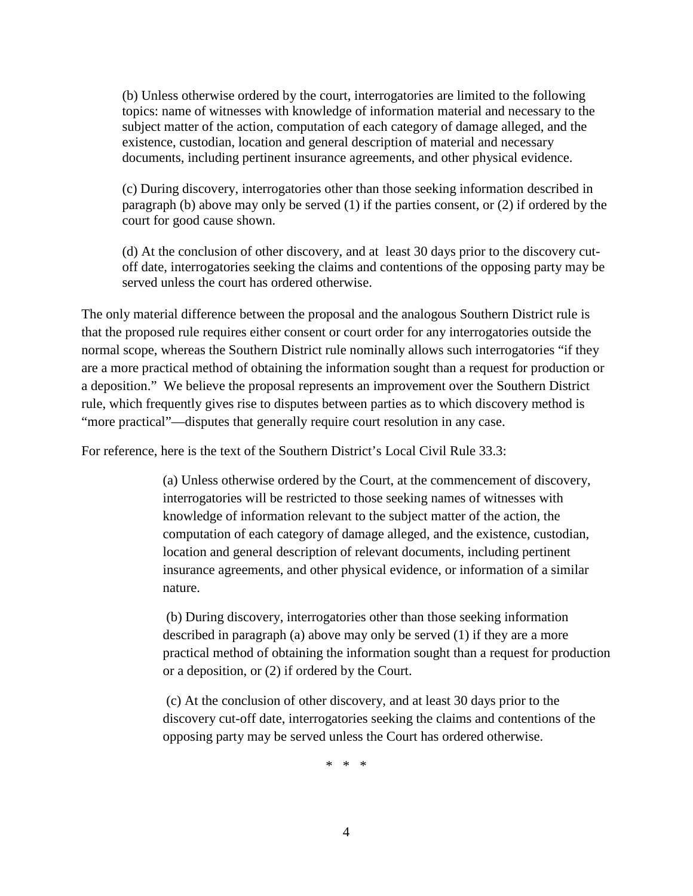(b) Unless otherwise ordered by the court, interrogatories are limited to the following topics: name of witnesses with knowledge of information material and necessary to the subject matter of the action, computation of each category of damage alleged, and the existence, custodian, location and general description of material and necessary documents, including pertinent insurance agreements, and other physical evidence.

(c) During discovery, interrogatories other than those seeking information described in paragraph (b) above may only be served (1) if the parties consent, or (2) if ordered by the court for good cause shown.

(d) At the conclusion of other discovery, and at least 30 days prior to the discovery cutoff date, interrogatories seeking the claims and contentions of the opposing party may be served unless the court has ordered otherwise.

The only material difference between the proposal and the analogous Southern District rule is that the proposed rule requires either consent or court order for any interrogatories outside the normal scope, whereas the Southern District rule nominally allows such interrogatories "if they are a more practical method of obtaining the information sought than a request for production or a deposition." We believe the proposal represents an improvement over the Southern District rule, which frequently gives rise to disputes between parties as to which discovery method is "more practical"—disputes that generally require court resolution in any case.

For reference, here is the text of the Southern District's Local Civil Rule 33.3:

(a) Unless otherwise ordered by the Court, at the commencement of discovery, interrogatories will be restricted to those seeking names of witnesses with knowledge of information relevant to the subject matter of the action, the computation of each category of damage alleged, and the existence, custodian, location and general description of relevant documents, including pertinent insurance agreements, and other physical evidence, or information of a similar nature.

(b) During discovery, interrogatories other than those seeking information described in paragraph (a) above may only be served (1) if they are a more practical method of obtaining the information sought than a request for production or a deposition, or (2) if ordered by the Court.

(c) At the conclusion of other discovery, and at least 30 days prior to the discovery cut-off date, interrogatories seeking the claims and contentions of the opposing party may be served unless the Court has ordered otherwise.

\* \* \*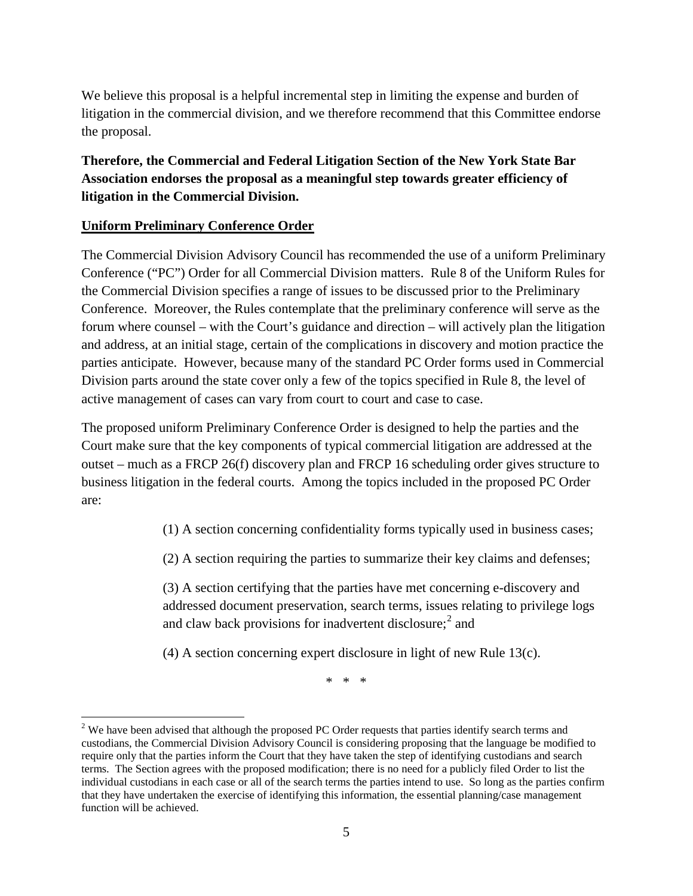We believe this proposal is a helpful incremental step in limiting the expense and burden of litigation in the commercial division, and we therefore recommend that this Committee endorse the proposal.

# **Therefore, the Commercial and Federal Litigation Section of the New York State Bar Association endorses the proposal as a meaningful step towards greater efficiency of litigation in the Commercial Division.**

### **Uniform Preliminary Conference Order**

The Commercial Division Advisory Council has recommended the use of a uniform Preliminary Conference ("PC") Order for all Commercial Division matters. Rule 8 of the Uniform Rules for the Commercial Division specifies a range of issues to be discussed prior to the Preliminary Conference. Moreover, the Rules contemplate that the preliminary conference will serve as the forum where counsel – with the Court's guidance and direction – will actively plan the litigation and address, at an initial stage, certain of the complications in discovery and motion practice the parties anticipate. However, because many of the standard PC Order forms used in Commercial Division parts around the state cover only a few of the topics specified in Rule 8, the level of active management of cases can vary from court to court and case to case.

The proposed uniform Preliminary Conference Order is designed to help the parties and the Court make sure that the key components of typical commercial litigation are addressed at the outset – much as a FRCP 26(f) discovery plan and FRCP 16 scheduling order gives structure to business litigation in the federal courts. Among the topics included in the proposed PC Order are:

(1) A section concerning confidentiality forms typically used in business cases;

(2) A section requiring the parties to summarize their key claims and defenses;

(3) A section certifying that the parties have met concerning e-discovery and addressed document preservation, search terms, issues relating to privilege logs and claw back provisions for inadvertent disclosure; [2](#page-4-0) and

(4) A section concerning expert disclosure in light of new Rule 13(c).

\* \* \*

<span id="page-4-0"></span><sup>&</sup>lt;sup>2</sup> We have been advised that although the proposed PC Order requests that parties identify search terms and custodians, the Commercial Division Advisory Council is considering proposing that the language be modified to require only that the parties inform the Court that they have taken the step of identifying custodians and search terms. The Section agrees with the proposed modification; there is no need for a publicly filed Order to list the individual custodians in each case or all of the search terms the parties intend to use. So long as the parties confirm that they have undertaken the exercise of identifying this information, the essential planning/case management function will be achieved.  $\overline{a}$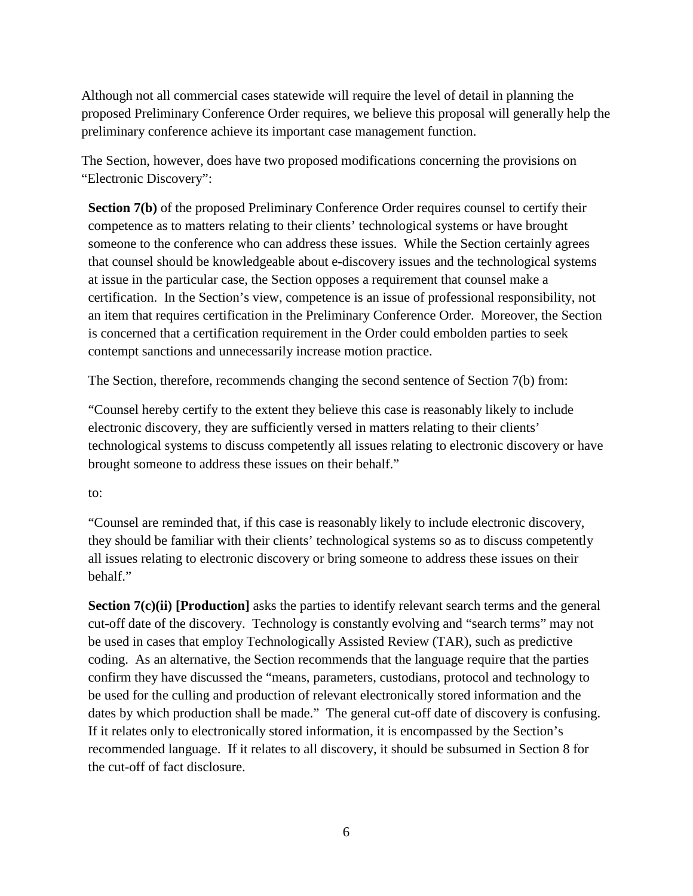Although not all commercial cases statewide will require the level of detail in planning the proposed Preliminary Conference Order requires, we believe this proposal will generally help the preliminary conference achieve its important case management function.

The Section, however, does have two proposed modifications concerning the provisions on "Electronic Discovery":

**Section 7(b)** of the proposed Preliminary Conference Order requires counsel to certify their competence as to matters relating to their clients' technological systems or have brought someone to the conference who can address these issues. While the Section certainly agrees that counsel should be knowledgeable about e-discovery issues and the technological systems at issue in the particular case, the Section opposes a requirement that counsel make a certification. In the Section's view, competence is an issue of professional responsibility, not an item that requires certification in the Preliminary Conference Order. Moreover, the Section is concerned that a certification requirement in the Order could embolden parties to seek contempt sanctions and unnecessarily increase motion practice.

The Section, therefore, recommends changing the second sentence of Section 7(b) from:

"Counsel hereby certify to the extent they believe this case is reasonably likely to include electronic discovery, they are sufficiently versed in matters relating to their clients' technological systems to discuss competently all issues relating to electronic discovery or have brought someone to address these issues on their behalf."

to:

"Counsel are reminded that, if this case is reasonably likely to include electronic discovery, they should be familiar with their clients' technological systems so as to discuss competently all issues relating to electronic discovery or bring someone to address these issues on their behalf."

**Section 7(c)(ii) [Production]** asks the parties to identify relevant search terms and the general cut-off date of the discovery. Technology is constantly evolving and "search terms" may not be used in cases that employ Technologically Assisted Review (TAR), such as predictive coding. As an alternative, the Section recommends that the language require that the parties confirm they have discussed the "means, parameters, custodians, protocol and technology to be used for the culling and production of relevant electronically stored information and the dates by which production shall be made." The general cut-off date of discovery is confusing. If it relates only to electronically stored information, it is encompassed by the Section's recommended language. If it relates to all discovery, it should be subsumed in Section 8 for the cut-off of fact disclosure.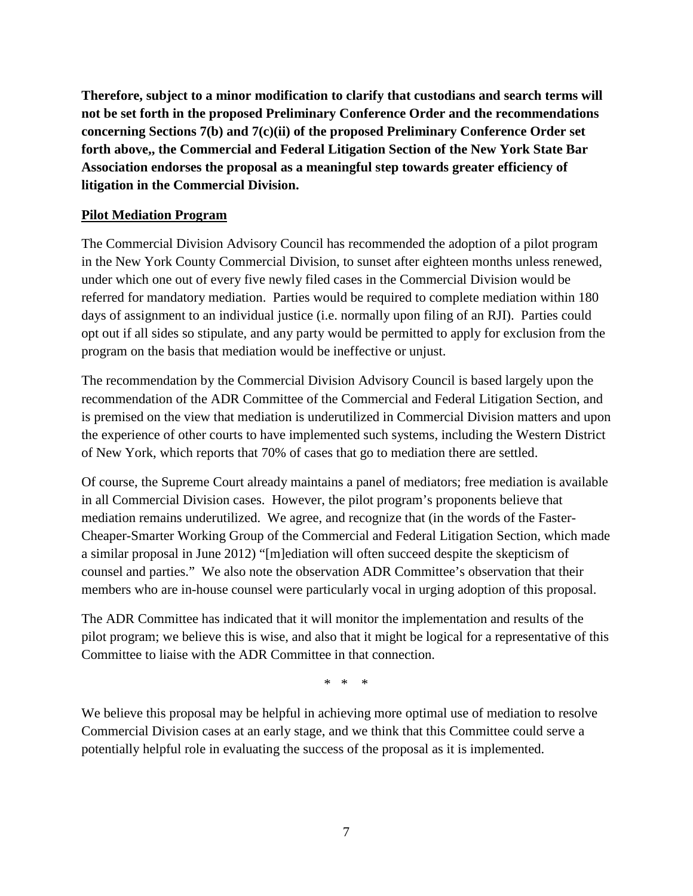**Therefore, subject to a minor modification to clarify that custodians and search terms will not be set forth in the proposed Preliminary Conference Order and the recommendations concerning Sections 7(b) and 7(c)(ii) of the proposed Preliminary Conference Order set forth above,, the Commercial and Federal Litigation Section of the New York State Bar Association endorses the proposal as a meaningful step towards greater efficiency of litigation in the Commercial Division.** 

### **Pilot Mediation Program**

The Commercial Division Advisory Council has recommended the adoption of a pilot program in the New York County Commercial Division, to sunset after eighteen months unless renewed, under which one out of every five newly filed cases in the Commercial Division would be referred for mandatory mediation. Parties would be required to complete mediation within 180 days of assignment to an individual justice (i.e. normally upon filing of an RJI). Parties could opt out if all sides so stipulate, and any party would be permitted to apply for exclusion from the program on the basis that mediation would be ineffective or unjust.

The recommendation by the Commercial Division Advisory Council is based largely upon the recommendation of the ADR Committee of the Commercial and Federal Litigation Section, and is premised on the view that mediation is underutilized in Commercial Division matters and upon the experience of other courts to have implemented such systems, including the Western District of New York, which reports that 70% of cases that go to mediation there are settled.

Of course, the Supreme Court already maintains a panel of mediators; free mediation is available in all Commercial Division cases. However, the pilot program's proponents believe that mediation remains underutilized. We agree, and recognize that (in the words of the Faster-Cheaper-Smarter Working Group of the Commercial and Federal Litigation Section, which made a similar proposal in June 2012) "[m]ediation will often succeed despite the skepticism of counsel and parties." We also note the observation ADR Committee's observation that their members who are in-house counsel were particularly vocal in urging adoption of this proposal.

The ADR Committee has indicated that it will monitor the implementation and results of the pilot program; we believe this is wise, and also that it might be logical for a representative of this Committee to liaise with the ADR Committee in that connection.

\* \* \*

We believe this proposal may be helpful in achieving more optimal use of mediation to resolve Commercial Division cases at an early stage, and we think that this Committee could serve a potentially helpful role in evaluating the success of the proposal as it is implemented.